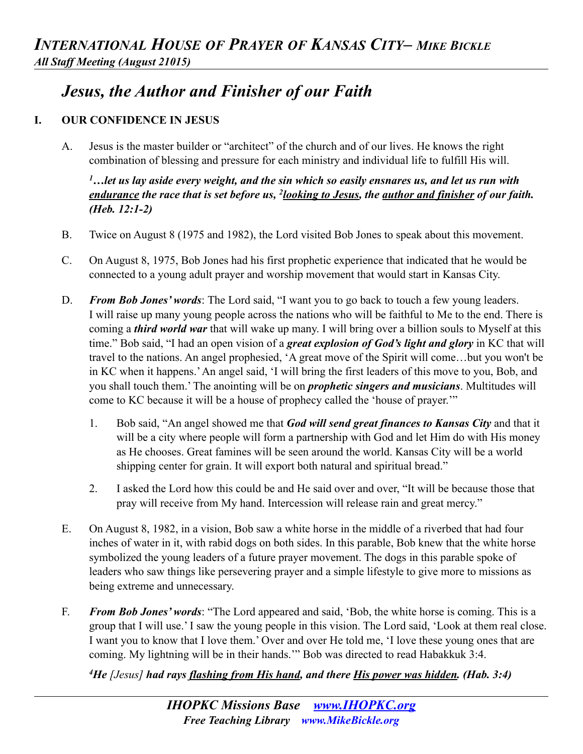## *Jesus, the Author and Finisher of our Faith*

## **I. OUR CONFIDENCE IN JESUS**

A. Jesus is the master builder or "architect" of the church and of our lives. He knows the right combination of blessing and pressure for each ministry and individual life to fulfill His will.

*1…let us lay aside every weight, and the sin which so easily ensnares us, and let us run with endurance the race that is set before us, 2looking to Jesus, the author and finisher of our faith. (Heb. 12:1-2)* 

- B. Twice on August 8 (1975 and 1982), the Lord visited Bob Jones to speak about this movement.
- C. On August 8, 1975, Bob Jones had his first prophetic experience that indicated that he would be connected to a young adult prayer and worship movement that would start in Kansas City.
- D. *From Bob Jones' words*: The Lord said, "I want you to go back to touch a few young leaders. I will raise up many young people across the nations who will be faithful to Me to the end. There is coming a *third world war* that will wake up many. I will bring over a billion souls to Myself at this time." Bob said, "I had an open vision of a *great explosion of God's light and glory* in KC that will travel to the nations. An angel prophesied, 'A great move of the Spirit will come…but you won't be in KC when it happens.' An angel said, 'I will bring the first leaders of this move to you, Bob, and you shall touch them.' The anointing will be on *prophetic singers and musicians*. Multitudes will come to KC because it will be a house of prophecy called the 'house of prayer.'"
	- 1. Bob said, "An angel showed me that *God will send great finances to Kansas City* and that it will be a city where people will form a partnership with God and let Him do with His money as He chooses. Great famines will be seen around the world. Kansas City will be a world shipping center for grain. It will export both natural and spiritual bread."
	- 2. I asked the Lord how this could be and He said over and over, "It will be because those that pray will receive from My hand. Intercession will release rain and great mercy."
- E. On August 8, 1982, in a vision, Bob saw a white horse in the middle of a riverbed that had four inches of water in it, with rabid dogs on both sides. In this parable, Bob knew that the white horse symbolized the young leaders of a future prayer movement. The dogs in this parable spoke of leaders who saw things like persevering prayer and a simple lifestyle to give more to missions as being extreme and unnecessary.
- F. *From Bob Jones' words*: "The Lord appeared and said, 'Bob, the white horse is coming. This is a group that I will use.' I saw the young people in this vision. The Lord said, 'Look at them real close. I want you to know that I love them.' Over and over He told me, 'I love these young ones that are coming. My lightning will be in their hands.'" Bob was directed to read Habakkuk 3:4.

*4He [Jesus] had rays flashing from His hand, and there His power was hidden. (Hab. 3:4)*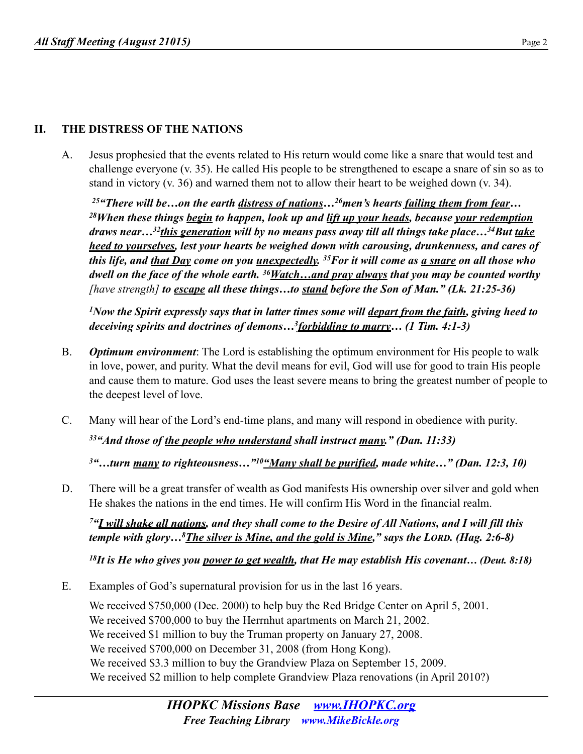## **II. THE DISTRESS OF THE NATIONS**

A. Jesus prophesied that the events related to His return would come like a snare that would test and challenge everyone (v. 35). He called His people to be strengthened to escape a snare of sin so as to stand in victory (v. 36) and warned them not to allow their heart to be weighed down (v. 34).

*25"There will be…on the earth distress of nations…26men's hearts failing them from fear… 28When these things begin to happen, look up and lift up your heads, because your redemption draws near…32this generation will by no means pass away till all things take place…34But take heed to yourselves, lest your hearts be weighed down with carousing, drunkenness, and cares of this life, and that Day come on you unexpectedly. 35For it will come as a snare on all those who dwell on the face of the whole earth. 36Watch…and pray always that you may be counted worthy [have strength] to escape all these things…to stand before the Son of Man." (Lk. 21:25-36)*

*1Now the Spirit expressly says that in latter times some will depart from the faith, giving heed to deceiving spirits and doctrines of demons…3forbidding to marry… (1 Tim. 4:1-3)* 

- B. *Optimum environment*: The Lord is establishing the optimum environment for His people to walk in love, power, and purity. What the devil means for evil, God will use for good to train His people and cause them to mature. God uses the least severe means to bring the greatest number of people to the deepest level of love.
- C. Many will hear of the Lord's end-time plans, and many will respond in obedience with purity.

*33"And those of the people who understand shall instruct many." (Dan. 11:33)*

*3"…turn many to righteousness…"10"Many shall be purified, made white…" (Dan. 12:3, 10)* 

D. There will be a great transfer of wealth as God manifests His ownership over silver and gold when He shakes the nations in the end times. He will confirm His Word in the financial realm.

*7"I will shake all nations, and they shall come to the Desire of All Nations, and I will fill this temple with glory…8The silver is Mine, and the gold is Mine," says the LORD. (Hag. 2:6-8)* 

*18It is He who gives you power to get wealth, that He may establish His covenant… (Deut. 8:18)* 

E. Examples of God's supernatural provision for us in the last 16 years.

We received \$750,000 (Dec. 2000) to help buy the Red Bridge Center on April 5, 2001. We received \$700,000 to buy the Herrnhut apartments on March 21, 2002. We received \$1 million to buy the Truman property on January 27, 2008. We received \$700,000 on December 31, 2008 (from Hong Kong). We received \$3.3 million to buy the Grandview Plaza on September 15, 2009. We received \$2 million to help complete Grandview Plaza renovations (in April 2010?)